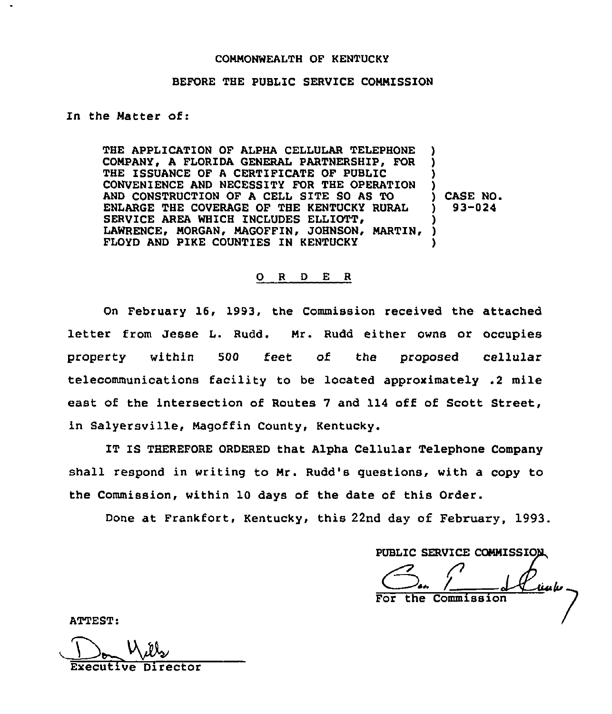### COHNONWEALTH OF KENTUCKY

## BEFORE THE PUBLIC SERVICE CONNISSION

### In the Hatter of:

THE APPLICATION OF ALPHA CELLULAR TELEPHONE COHPANY, A FLORIDA GENERAL PARTNERSHIP, FOR THE ISSUANCE OF A CERTIFICATE OF PUBLIC CONVENIENCE AND NECESSITY FOR THE OPERATION AND CONSTRUCTION OF <sup>A</sup> CELL SITE SO AS TO ENLARGE THE COVERAGE OF THE KENTUCKY RURAL SERVICE AREA WHICH INCLUDES ELLIOTT, LAWRENCE, MORGAN, MAGOFFIN, JOHNSON, MARTIN, FLOYD AND PIKE COUNTIES IN KENTUCKY ) ) ) ) ) CASE NO. ) 93-024 ) ) )

#### 0 <sup>R</sup> <sup>D</sup> E R

On February 16, 1993, the Commission received the attached letter from Jesse L. Rudd. Hr. Rudd either owns or occupies property within 500 feet of the proposed cellular telecommunications facility to be located approximately .2 mile east of the intersection of Routes 7 and 114 off of Scott Street, in Salyersville, Nagoffin County, Kentucky.

IT IS THEREFORE ORDERED that Alpha Cellular Telephone Company shall respond in writing to Hr. Rudd's questions, with a copy to the Commission, within 10 days of the date of this Order.

Done at Frankfort, Kentucky, this 22nd day of February, 1993.

PUBLIC SERVICE COMMISSION

 $\frac{C_{\text{max}}}{\sqrt{\frac{C_{\text{max}}}{\sqrt{C_{\text{max}}}}}}$ 

ATTEST:

Executive Director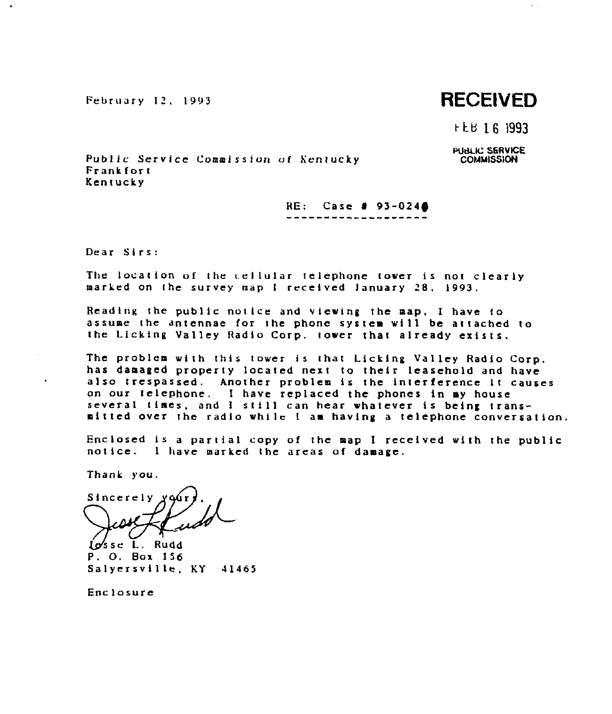February 12, 1993

# RECElVED

 $\sim$   $\sim$ 

t-k.lf 16 1993

PUBLIC SERVICE **COMMISSION** 

Public Service Commission of Kentucky Frankfort Kentucky

RE: Case #  $93-024$ 

 $s$ irs:

The location of the cellular telephone tower is not clearly marked on the survey map <sup>I</sup> received January 28, 1993.

Reading the public notice and viewing the map. I have to assume the antennae for the phone system will be attached to the Licking Valley Radio Corp. tower that already exists.

The problem with this tower is that Licking Valley Radio Corp.<br>has damaged property located next to their leasehold and have also trespassed. Another problem is the interference it causes on our telephone, <sup>I</sup> have replaced the phones in my house several times, and <sup>I</sup> still can hear whatever is being transmitted over the radio while <sup>I</sup> am having <sup>a</sup> telephone conversation.

Enclosed is <sup>a</sup> partial copy of the map <sup>I</sup> recetved with the public notice. <sup>I</sup> have marked the areas of damage.

Thank you.

Sincerely

P. 0. Box 156 Salyersville, KY 41465

Enclosure